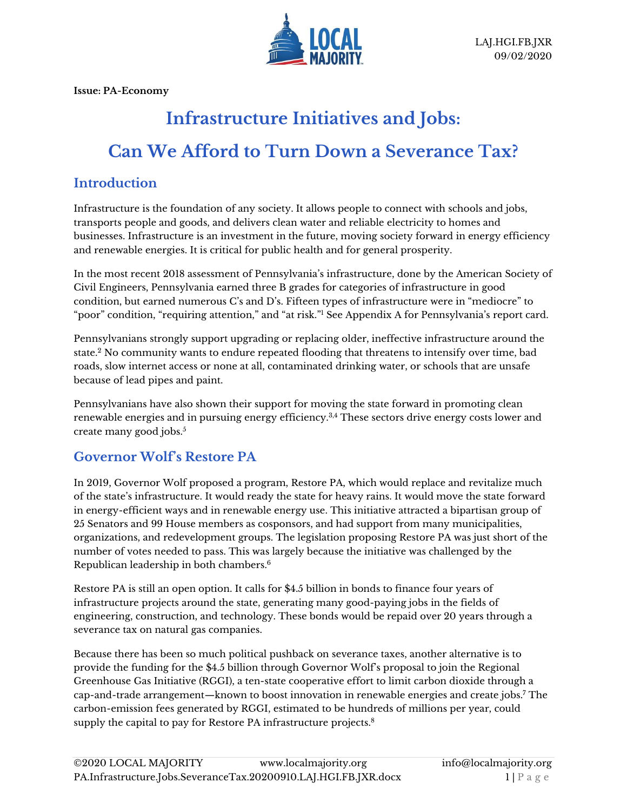

**Issue: PA-Economy**

# **Infrastructure Initiatives and Jobs: Can We Afford to Turn Down a Severance Tax?**

#### **Introduction**

Infrastructure is the foundation of any society. It allows people to connect with schools and jobs, transports people and goods, and delivers clean water and reliable electricity to homes and businesses. Infrastructure is an investment in the future, moving society forward in energy efficiency and renewable energies. It is critical for public health and for general prosperity.

In the most recent 2018 assessment of Pennsylvania's infrastructure, done by the American Society of Civil Engineers, Pennsylvania earned three B grades for categories of infrastructure in good condition, but earned numerous C's and D's. Fifteen types of infrastructure were in "mediocre" to "poor" condition, "requiring attention," and "at risk."<sup>1</sup> See Appendix A for Pennsylvania's report card.

Pennsylvanians strongly support upgrading or replacing older, ineffective infrastructure around the state.<sup>2</sup> No community wants to endure repeated flooding that threatens to intensify over time, bad roads, slow internet access or none at all, contaminated drinking water, or schools that are unsafe because of lead pipes and paint.

Pennsylvanians have also shown their support for moving the state forward in promoting clean renewable energies and in pursuing energy efficiency.<sup>3,4</sup> These sectors drive energy costs lower and create many good jobs.<sup>5</sup>

### **Governor Wolf's Restore PA**

In 2019, Governor Wolf proposed a program, Restore PA, which would replace and revitalize much of the state's infrastructure. It would ready the state for heavy rains. It would move the state forward in energy-efficient ways and in renewable energy use. This initiative attracted a bipartisan group of 25 Senators and 99 House members as cosponsors, and had support from many municipalities, organizations, and redevelopment groups. The legislation proposing Restore PA was just short of the number of votes needed to pass. This was largely because the initiative was challenged by the Republican leadership in both chambers.<sup>6</sup>

Restore PA is still an open option. It calls for \$4.5 billion in bonds to finance four years of infrastructure projects around the state, generating many good-paying jobs in the fields of engineering, construction, and technology. These bonds would be repaid over 20 years through a severance tax on natural gas companies.

Because there has been so much political pushback on severance taxes, another alternative is to provide the funding for the \$4.5 billion through Governor Wolf's proposal to join the Regional Greenhouse Gas Initiative (RGGI), a ten-state cooperative effort to limit carbon dioxide through a cap-and-trade arrangement—known to boost innovation in renewable energies and create jobs.<sup>7</sup> The carbon-emission fees generated by RGGI, estimated to be hundreds of millions per year, could supply the capital to pay for Restore PA infrastructure projects.<sup>8</sup>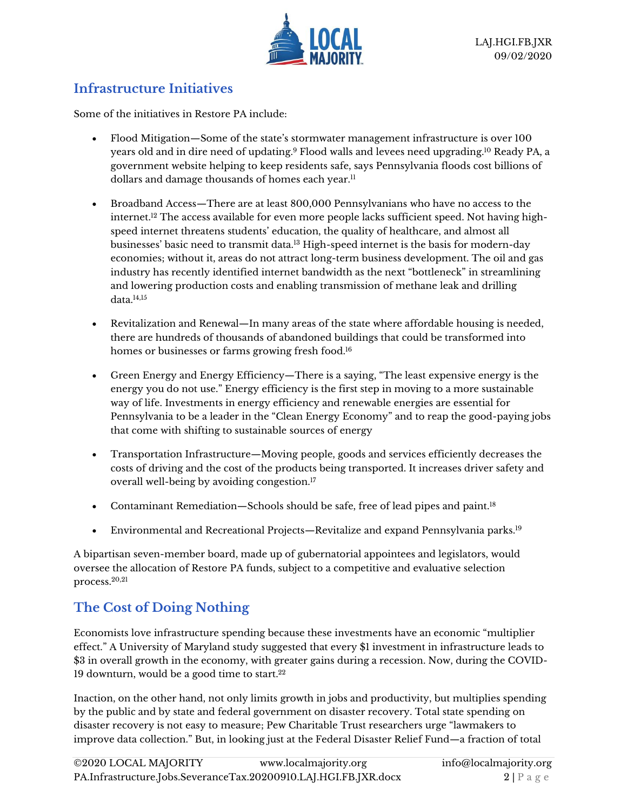

### **Infrastructure Initiatives**

Some of the initiatives in Restore PA include:

- Flood Mitigation—Some of the state's stormwater management infrastructure is over 100 years old and in dire need of updating.<sup>9</sup> Flood walls and levees need upgrading.<sup>10</sup> Ready PA, a government website helping to keep residents safe, says Pennsylvania floods cost billions of dollars and damage thousands of homes each year.<sup>11</sup>
- Broadband Access—There are at least 800,000 Pennsylvanians who have no access to the internet.<sup>12</sup> The access available for even more people lacks sufficient speed. Not having highspeed internet threatens students' education, the quality of healthcare, and almost all businesses' basic need to transmit data.<sup>13</sup> High-speed internet is the basis for modern-day economies; without it, areas do not attract long-term business development. The oil and gas industry has recently identified internet bandwidth as the next "bottleneck" in streamlining and lowering production costs and enabling transmission of methane leak and drilling data.14,15
- Revitalization and Renewal—In many areas of the state where affordable housing is needed, there are hundreds of thousands of abandoned buildings that could be transformed into homes or businesses or farms growing fresh food.<sup>16</sup>
- Green Energy and Energy Efficiency—There is a saying, "The least expensive energy is the energy you do not use." Energy efficiency is the first step in moving to a more sustainable way of life. Investments in energy efficiency and renewable energies are essential for Pennsylvania to be a leader in the "Clean Energy Economy" and to reap the good-paying jobs that come with shifting to sustainable sources of energy
- Transportation Infrastructure—Moving people, goods and services efficiently decreases the costs of driving and the cost of the products being transported. It increases driver safety and overall well-being by avoiding congestion.<sup>17</sup>
- Contaminant Remediation—Schools should be safe, free of lead pipes and paint.<sup>18</sup>
- Environmental and Recreational Projects—Revitalize and expand Pennsylvania parks.<sup>19</sup>

A bipartisan seven-member board, made up of gubernatorial appointees and legislators, would oversee the allocation of Restore PA funds, subject to a competitive and evaluative selection process.20,21

# **The Cost of Doing Nothing**

Economists love infrastructure spending because these investments have an economic "multiplier effect." A University of Maryland study suggested that every \$1 investment in infrastructure leads to \$3 in overall growth in the economy, with greater gains during a recession. Now, during the COVID-19 downturn, would be a good time to start.<sup>22</sup>

Inaction, on the other hand, not only limits growth in jobs and productivity, but multiplies spending by the public and by state and federal government on disaster recovery. Total state spending on disaster recovery is not easy to measure; Pew Charitable Trust researchers urge "lawmakers to improve data collection." But, in looking just at the Federal Disaster Relief Fund—a fraction of total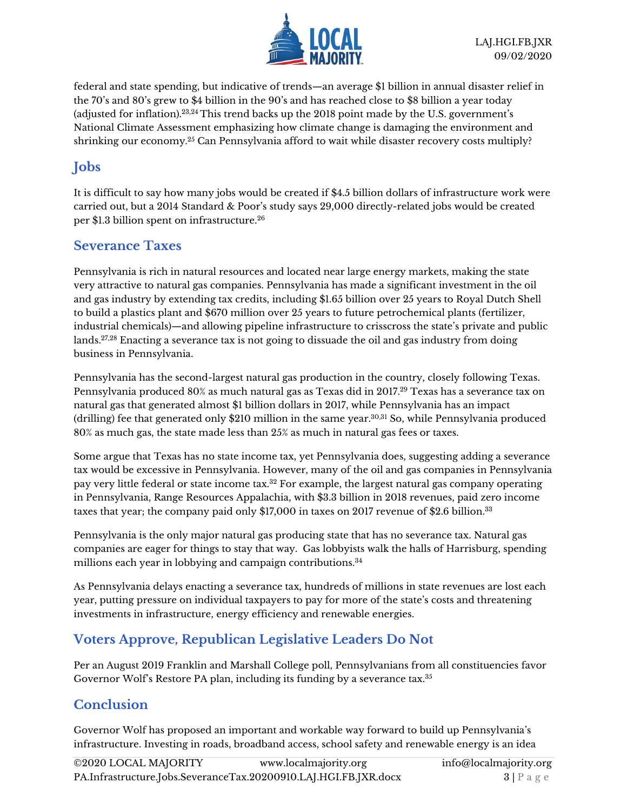

federal and state spending, but indicative of trends—an average \$1 billion in annual disaster relief in the 70's and 80's grew to \$4 billion in the 90's and has reached close to \$8 billion a year today (adjusted for inflation).23,24 This trend backs up the 2018 point made by the U.S. government's National Climate Assessment emphasizing how climate change is damaging the environment and shrinking our economy.<sup>25</sup> Can Pennsylvania afford to wait while disaster recovery costs multiply?

## **Jobs**

It is difficult to say how many jobs would be created if \$4.5 billion dollars of infrastructure work were carried out, but a 2014 Standard & Poor's study says 29,000 directly-related jobs would be created per \$1.3 billion spent on infrastructure.<sup>26</sup>

#### **Severance Taxes**

Pennsylvania is rich in natural resources and located near large energy markets, making the state very attractive to natural gas companies. Pennsylvania has made a significant investment in the oil and gas industry by extending tax credits, including \$1.65 billion over 25 years to Royal Dutch Shell to build a plastics plant and \$670 million over 25 years to future petrochemical plants (fertilizer, industrial chemicals)—and allowing pipeline infrastructure to crisscross the state's private and public lands.27,28 Enacting a severance tax is not going to dissuade the oil and gas industry from doing business in Pennsylvania.

Pennsylvania has the second-largest natural gas production in the country, closely following Texas. Pennsylvania produced 80% as much natural gas as Texas did in 2017.<sup>29</sup> Texas has a severance tax on natural gas that generated almost \$1 billion dollars in 2017, while Pennsylvania has an impact (drilling) fee that generated only \$210 million in the same year.30,31 So, while Pennsylvania produced 80% as much gas, the state made less than 25% as much in natural gas fees or taxes.

Some argue that Texas has no state income tax, yet Pennsylvania does, suggesting adding a severance tax would be excessive in Pennsylvania. However, many of the oil and gas companies in Pennsylvania pay very little federal or state income tax.<sup>32</sup> For example, the largest natural gas company operating in Pennsylvania, Range Resources Appalachia, with \$3.3 billion in 2018 revenues, paid zero income taxes that year; the company paid only \$17,000 in taxes on 2017 revenue of \$2.6 billion.<sup>33</sup>

Pennsylvania is the only major natural gas producing state that has no severance tax. Natural gas companies are eager for things to stay that way. Gas lobbyists walk the halls of Harrisburg, spending millions each year in lobbying and campaign contributions.<sup>34</sup>

As Pennsylvania delays enacting a severance tax, hundreds of millions in state revenues are lost each year, putting pressure on individual taxpayers to pay for more of the state's costs and threatening investments in infrastructure, energy efficiency and renewable energies.

### **Voters Approve, Republican Legislative Leaders Do Not**

Per an August 2019 Franklin and Marshall College poll, Pennsylvanians from all constituencies favor Governor Wolf's Restore PA plan, including its funding by a severance tax.<sup>35</sup>

### **Conclusion**

Governor Wolf has proposed an important and workable way forward to build up Pennsylvania's infrastructure. Investing in roads, broadband access, school safety and renewable energy is an idea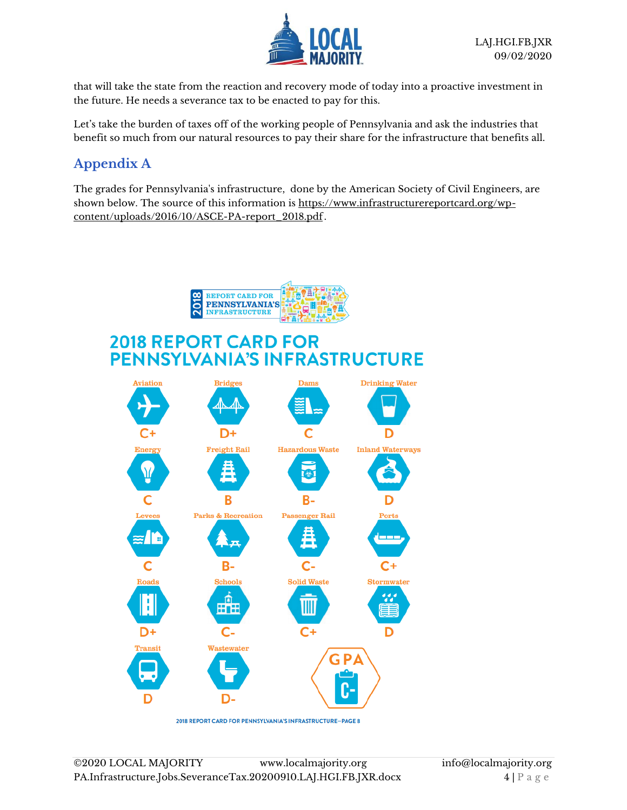

that will take the state from the reaction and recovery mode of today into a proactive investment in the future. He needs a severance tax to be enacted to pay for this.

Let's take the burden of taxes off of the working people of Pennsylvania and ask the industries that benefit so much from our natural resources to pay their share for the infrastructure that benefits all.

## **Appendix A**

The grades for Pennsylvania's infrastructure, done by the American Society of Civil Engineers, are shown below. The source of this information is https://www.infrastructurereportcard.org/wpcontent/uploads/2016/10/ASCE-PA-report\_2018.pdf .



2018 REPORT CARD FOR PENNSYLVANIA'S INFRASTRUCTURE-PAGE 8